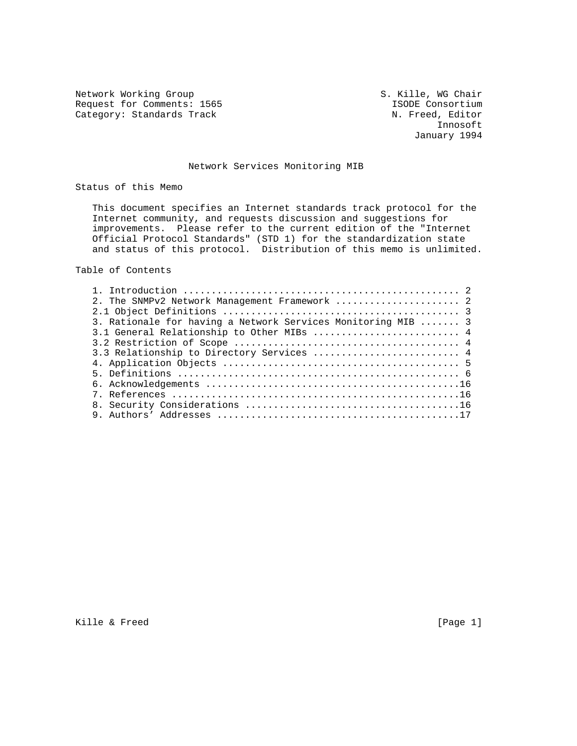Network Working Group S. Kille, WG Chair Request for Comments: 1565 ISODE Consortium

Category: Standards Track N. Freed, Editor<br>Innosoft Innosoft January 1994

# Network Services Monitoring MIB

Status of this Memo

 This document specifies an Internet standards track protocol for the Internet community, and requests discussion and suggestions for improvements. Please refer to the current edition of the "Internet Official Protocol Standards" (STD 1) for the standardization state and status of this protocol. Distribution of this memo is unlimited.

Table of Contents

| 2. The SNMPv2 Network Management Framework  2<br>3. Rationale for having a Network Services Monitoring MIB  3<br>3.1 General Relationship to Other MIBs  4<br>3.3 Relationship to Directory Services  4 |  |
|---------------------------------------------------------------------------------------------------------------------------------------------------------------------------------------------------------|--|
|                                                                                                                                                                                                         |  |
|                                                                                                                                                                                                         |  |
|                                                                                                                                                                                                         |  |
|                                                                                                                                                                                                         |  |
|                                                                                                                                                                                                         |  |
|                                                                                                                                                                                                         |  |
|                                                                                                                                                                                                         |  |
|                                                                                                                                                                                                         |  |
|                                                                                                                                                                                                         |  |
|                                                                                                                                                                                                         |  |
|                                                                                                                                                                                                         |  |
|                                                                                                                                                                                                         |  |

Kille & Freed [Page 1]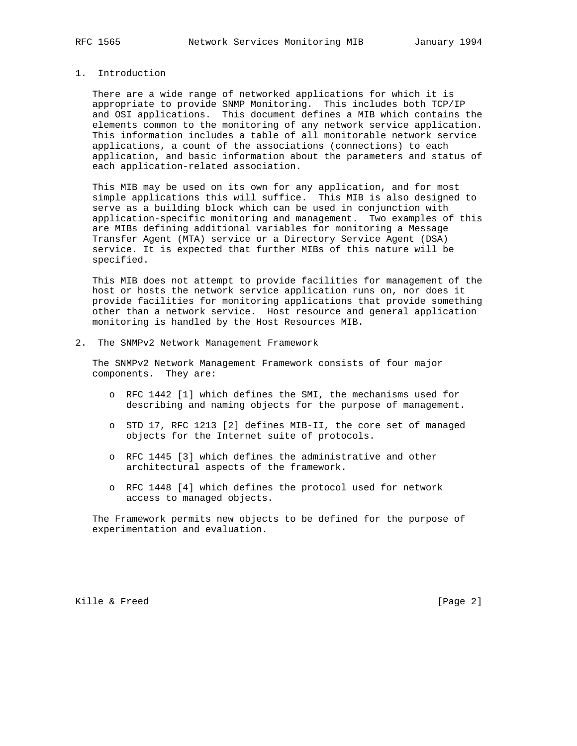### 1. Introduction

 There are a wide range of networked applications for which it is appropriate to provide SNMP Monitoring. This includes both TCP/IP and OSI applications. This document defines a MIB which contains the elements common to the monitoring of any network service application. This information includes a table of all monitorable network service applications, a count of the associations (connections) to each application, and basic information about the parameters and status of each application-related association.

 This MIB may be used on its own for any application, and for most simple applications this will suffice. This MIB is also designed to serve as a building block which can be used in conjunction with application-specific monitoring and management. Two examples of this are MIBs defining additional variables for monitoring a Message Transfer Agent (MTA) service or a Directory Service Agent (DSA) service. It is expected that further MIBs of this nature will be specified.

 This MIB does not attempt to provide facilities for management of the host or hosts the network service application runs on, nor does it provide facilities for monitoring applications that provide something other than a network service. Host resource and general application monitoring is handled by the Host Resources MIB.

2. The SNMPv2 Network Management Framework

 The SNMPv2 Network Management Framework consists of four major components. They are:

- o RFC 1442 [1] which defines the SMI, the mechanisms used for describing and naming objects for the purpose of management.
- o STD 17, RFC 1213 [2] defines MIB-II, the core set of managed objects for the Internet suite of protocols.
- o RFC 1445 [3] which defines the administrative and other architectural aspects of the framework.
- o RFC 1448 [4] which defines the protocol used for network access to managed objects.

 The Framework permits new objects to be defined for the purpose of experimentation and evaluation.

Kille & Freed [Page 2]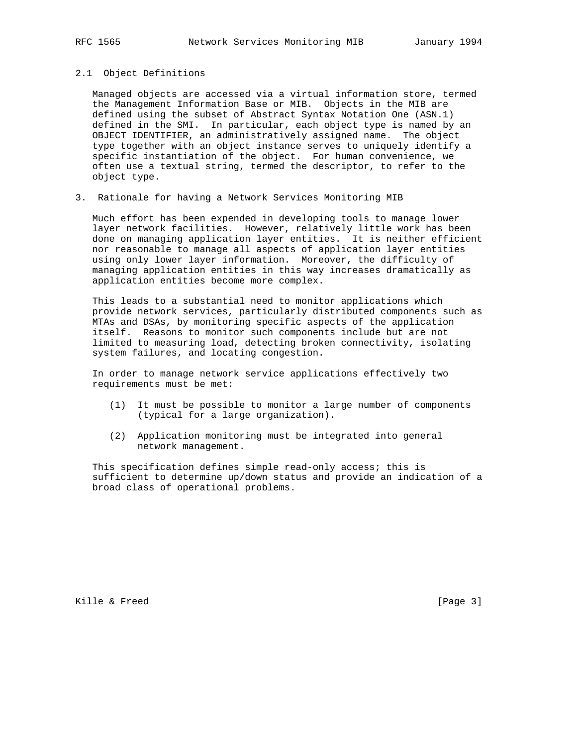# 2.1 Object Definitions

 Managed objects are accessed via a virtual information store, termed the Management Information Base or MIB. Objects in the MIB are defined using the subset of Abstract Syntax Notation One (ASN.1) defined in the SMI. In particular, each object type is named by an OBJECT IDENTIFIER, an administratively assigned name. The object type together with an object instance serves to uniquely identify a specific instantiation of the object. For human convenience, we often use a textual string, termed the descriptor, to refer to the object type.

3. Rationale for having a Network Services Monitoring MIB

 Much effort has been expended in developing tools to manage lower layer network facilities. However, relatively little work has been done on managing application layer entities. It is neither efficient nor reasonable to manage all aspects of application layer entities using only lower layer information. Moreover, the difficulty of managing application entities in this way increases dramatically as application entities become more complex.

 This leads to a substantial need to monitor applications which provide network services, particularly distributed components such as MTAs and DSAs, by monitoring specific aspects of the application itself. Reasons to monitor such components include but are not limited to measuring load, detecting broken connectivity, isolating system failures, and locating congestion.

 In order to manage network service applications effectively two requirements must be met:

- (1) It must be possible to monitor a large number of components (typical for a large organization).
- (2) Application monitoring must be integrated into general network management.

 This specification defines simple read-only access; this is sufficient to determine up/down status and provide an indication of a broad class of operational problems.

Kille & Freed [Page 3]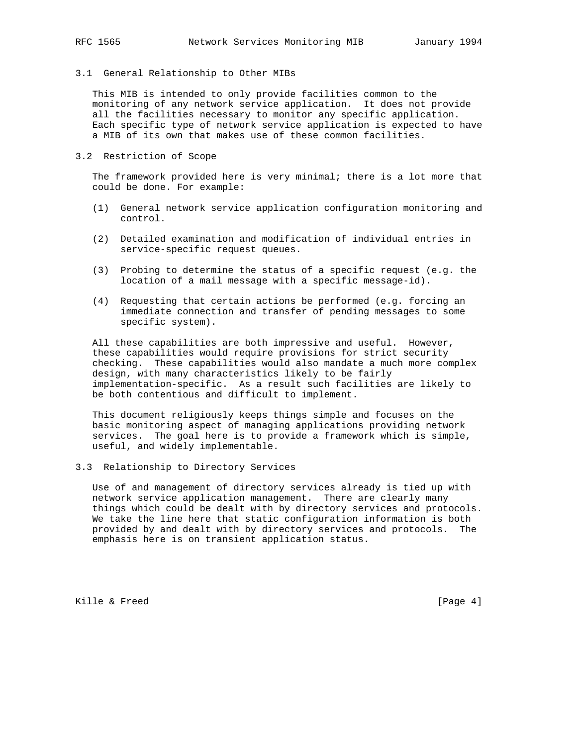3.1 General Relationship to Other MIBs

 This MIB is intended to only provide facilities common to the monitoring of any network service application. It does not provide all the facilities necessary to monitor any specific application. Each specific type of network service application is expected to have a MIB of its own that makes use of these common facilities.

3.2 Restriction of Scope

 The framework provided here is very minimal; there is a lot more that could be done. For example:

- (1) General network service application configuration monitoring and control.
- (2) Detailed examination and modification of individual entries in service-specific request queues.
- (3) Probing to determine the status of a specific request (e.g. the location of a mail message with a specific message-id).
- (4) Requesting that certain actions be performed (e.g. forcing an immediate connection and transfer of pending messages to some specific system).

 All these capabilities are both impressive and useful. However, these capabilities would require provisions for strict security checking. These capabilities would also mandate a much more complex design, with many characteristics likely to be fairly implementation-specific. As a result such facilities are likely to be both contentious and difficult to implement.

 This document religiously keeps things simple and focuses on the basic monitoring aspect of managing applications providing network services. The goal here is to provide a framework which is simple, useful, and widely implementable.

3.3 Relationship to Directory Services

 Use of and management of directory services already is tied up with network service application management. There are clearly many things which could be dealt with by directory services and protocols. We take the line here that static configuration information is both provided by and dealt with by directory services and protocols. The emphasis here is on transient application status.

Kille & Freed [Page 4]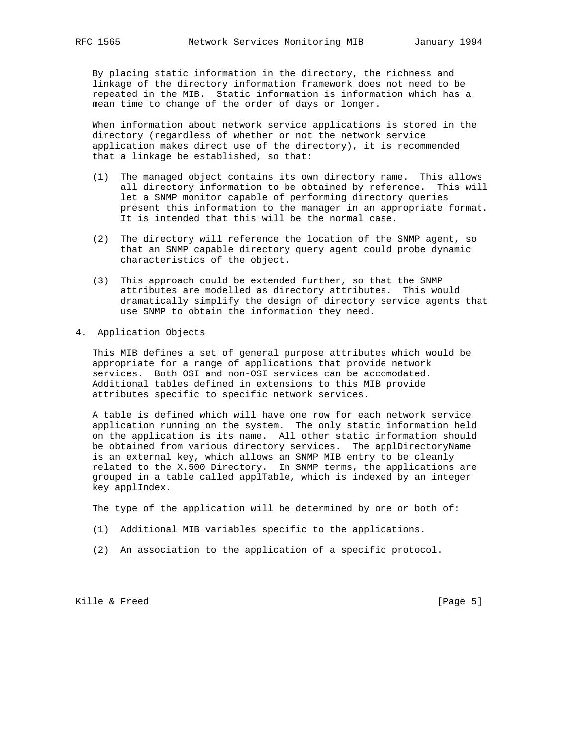By placing static information in the directory, the richness and linkage of the directory information framework does not need to be repeated in the MIB. Static information is information which has a mean time to change of the order of days or longer.

 When information about network service applications is stored in the directory (regardless of whether or not the network service application makes direct use of the directory), it is recommended that a linkage be established, so that:

- (1) The managed object contains its own directory name. This allows all directory information to be obtained by reference. This will let a SNMP monitor capable of performing directory queries present this information to the manager in an appropriate format. It is intended that this will be the normal case.
- (2) The directory will reference the location of the SNMP agent, so that an SNMP capable directory query agent could probe dynamic characteristics of the object.
- (3) This approach could be extended further, so that the SNMP attributes are modelled as directory attributes. This would dramatically simplify the design of directory service agents that use SNMP to obtain the information they need.
- 4. Application Objects

 This MIB defines a set of general purpose attributes which would be appropriate for a range of applications that provide network services. Both OSI and non-OSI services can be accomodated. Additional tables defined in extensions to this MIB provide attributes specific to specific network services.

 A table is defined which will have one row for each network service application running on the system. The only static information held on the application is its name. All other static information should be obtained from various directory services. The applDirectoryName is an external key, which allows an SNMP MIB entry to be cleanly related to the X.500 Directory. In SNMP terms, the applications are grouped in a table called applTable, which is indexed by an integer key applIndex.

The type of the application will be determined by one or both of:

- (1) Additional MIB variables specific to the applications.
- (2) An association to the application of a specific protocol.

Kille & Freed [Page 5]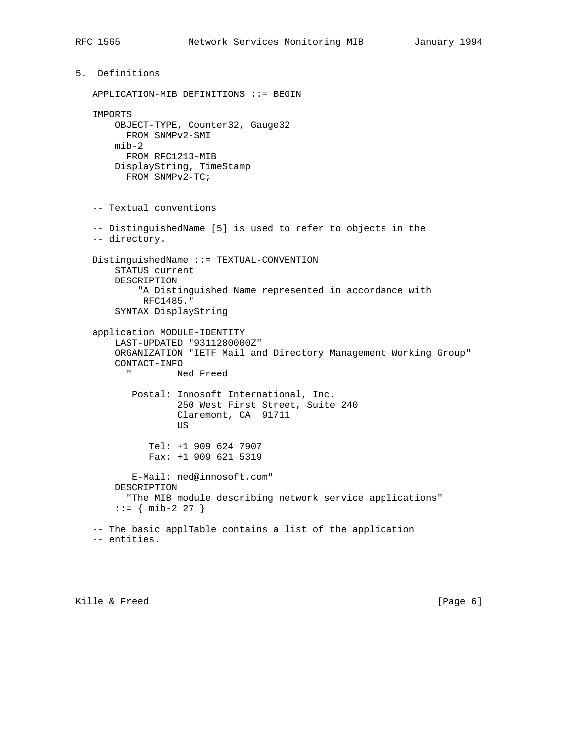5. Definitions APPLICATION-MIB DEFINITIONS ::= BEGIN IMPORTS OBJECT-TYPE, Counter32, Gauge32 FROM SNMPv2-SMI mib-2 FROM RFC1213-MIB DisplayString, TimeStamp FROM SNMPv2-TC; -- Textual conventions -- DistinguishedName [5] is used to refer to objects in the -- directory. DistinguishedName ::= TEXTUAL-CONVENTION STATUS current DESCRIPTION "A Distinguished Name represented in accordance with RFC1485." SYNTAX DisplayString application MODULE-IDENTITY LAST-UPDATED "9311280000Z" ORGANIZATION "IETF Mail and Directory Management Working Group" CONTACT-INFO Ned Freed Postal: Innosoft International, Inc. 250 West First Street, Suite 240 Claremont, CA 91711 **US** *US*  Tel: +1 909 624 7907 Fax: +1 909 621 5319 E-Mail: ned@innosoft.com" DESCRIPTION "The MIB module describing network service applications"  $::=$  { mib-2 27 } -- The basic applTable contains a list of the application -- entities.

Kille & Freed [Page 6]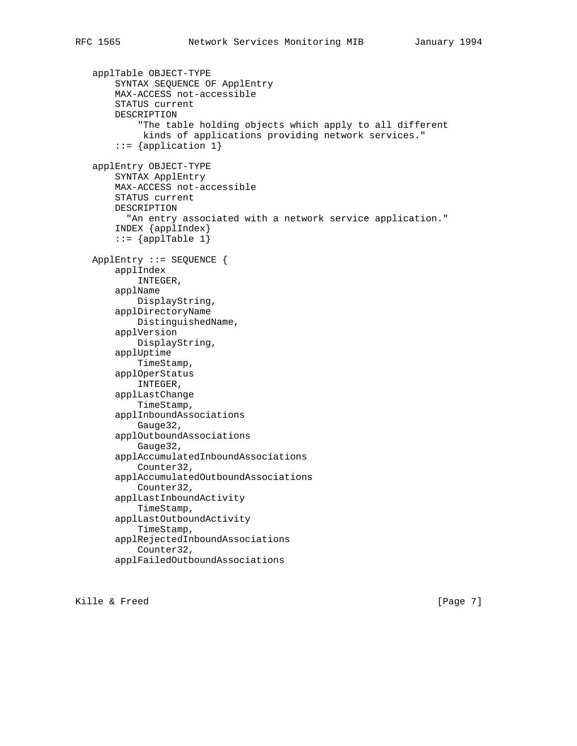```
 applTable OBJECT-TYPE
     SYNTAX SEQUENCE OF ApplEntry
     MAX-ACCESS not-accessible
     STATUS current
     DESCRIPTION
         "The table holding objects which apply to all different
          kinds of applications providing network services."
    ::= {application 1}
 applEntry OBJECT-TYPE
     SYNTAX ApplEntry
     MAX-ACCESS not-accessible
     STATUS current
     DESCRIPTION
      "An entry associated with a network service application."
     INDEX {applIndex}
    ::= {applTable 1}
 ApplEntry ::= SEQUENCE {
     applIndex
         INTEGER,
     applName
         DisplayString,
     applDirectoryName
         DistinguishedName,
     applVersion
         DisplayString,
     applUptime
         TimeStamp,
     applOperStatus
         INTEGER,
     applLastChange
         TimeStamp,
     applInboundAssociations
         Gauge32,
     applOutboundAssociations
         Gauge32,
     applAccumulatedInboundAssociations
         Counter32,
     applAccumulatedOutboundAssociations
         Counter32,
     applLastInboundActivity
         TimeStamp,
     applLastOutboundActivity
         TimeStamp,
     applRejectedInboundAssociations
         Counter32,
     applFailedOutboundAssociations
```
Kille & Freed [Page 7]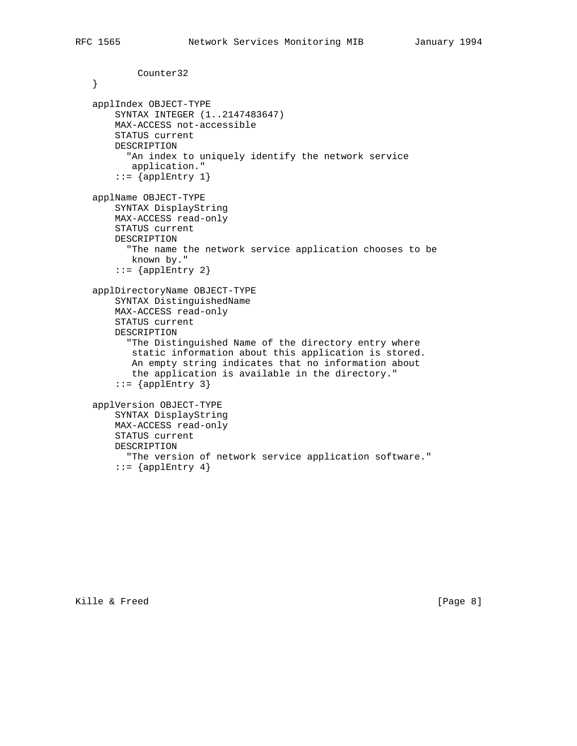Counter32

```
 }
 applIndex OBJECT-TYPE
     SYNTAX INTEGER (1..2147483647)
    MAX-ACCESS not-accessible
    STATUS current
    DESCRIPTION
       "An index to uniquely identify the network service
       application."
     ::= \{applEntry 1\} applName OBJECT-TYPE
    SYNTAX DisplayString
    MAX-ACCESS read-only
     STATUS current
    DESCRIPTION
       "The name the network service application chooses to be
       known by."
     ::= \{applEntry 2\} applDirectoryName OBJECT-TYPE
    SYNTAX DistinguishedName
    MAX-ACCESS read-only
    STATUS current
    DESCRIPTION
       "The Distinguished Name of the directory entry where
        static information about this application is stored.
        An empty string indicates that no information about
        the application is available in the directory."
    ::= {applEntry 3}
 applVersion OBJECT-TYPE
    SYNTAX DisplayString
    MAX-ACCESS read-only
    STATUS current
    DESCRIPTION
      "The version of network service application software."
    ::= \{applEntry 4\}
```
Kille & Freed [Page 8]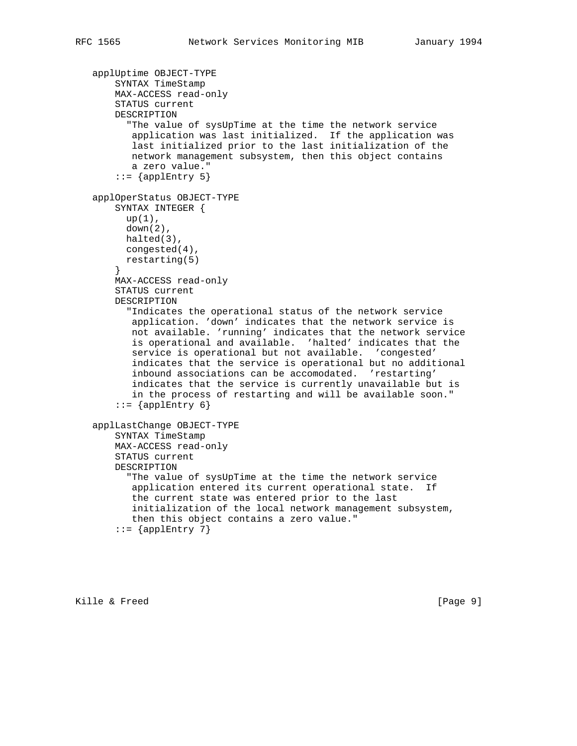```
 applUptime OBJECT-TYPE
     SYNTAX TimeStamp
     MAX-ACCESS read-only
     STATUS current
    DESCRIPTION
       "The value of sysUpTime at the time the network service
        application was last initialized. If the application was
        last initialized prior to the last initialization of the
        network management subsystem, then this object contains
       a zero value."
     ::= \{applEntry 5\} applOperStatus OBJECT-TYPE
    SYNTAX INTEGER {
     up(1),
       down(2),
       halted(3),
       congested(4),
      restarting(5)
     }
     MAX-ACCESS read-only
     STATUS current
    DESCRIPTION
       "Indicates the operational status of the network service
        application. 'down' indicates that the network service is
        not available. 'running' indicates that the network service
        is operational and available. 'halted' indicates that the
        service is operational but not available. 'congested'
        indicates that the service is operational but no additional
        inbound associations can be accomodated. 'restarting'
        indicates that the service is currently unavailable but is
        in the process of restarting and will be available soon."
     ::= \{applEntry 6\} applLastChange OBJECT-TYPE
    SYNTAX TimeStamp
    MAX-ACCESS read-only
     STATUS current
    DESCRIPTION
       "The value of sysUpTime at the time the network service
        application entered its current operational state. If
        the current state was entered prior to the last
        initialization of the local network management subsystem,
        then this object contains a zero value."
    ::= {applEntry 7}
```
Kille & Freed [Page 9]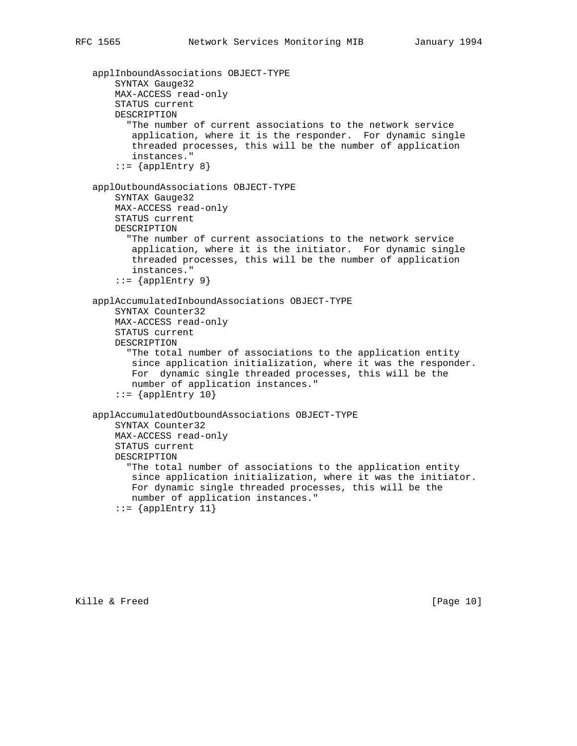```
 applInboundAssociations OBJECT-TYPE
     SYNTAX Gauge32
    MAX-ACCESS read-only
     STATUS current
    DESCRIPTION
       "The number of current associations to the network service
        application, where it is the responder. For dynamic single
        threaded processes, this will be the number of application
        instances."
     ::= \{applEntry 8\} applOutboundAssociations OBJECT-TYPE
     SYNTAX Gauge32
     MAX-ACCESS read-only
     STATUS current
     DESCRIPTION
       "The number of current associations to the network service
        application, where it is the initiator. For dynamic single
        threaded processes, this will be the number of application
        instances."
     ::= \{applEntry 9\} applAccumulatedInboundAssociations OBJECT-TYPE
     SYNTAX Counter32
    MAX-ACCESS read-only
    STATUS current
    DESCRIPTION
       "The total number of associations to the application entity
        since application initialization, where it was the responder.
        For dynamic single threaded processes, this will be the
        number of application instances."
    ::= {applEntry 10}
 applAccumulatedOutboundAssociations OBJECT-TYPE
     SYNTAX Counter32
    MAX-ACCESS read-only
     STATUS current
    DESCRIPTION
       "The total number of associations to the application entity
        since application initialization, where it was the initiator.
        For dynamic single threaded processes, this will be the
        number of application instances."
```
 $::=$  {applEntry 11}

Kille & Freed [Page 10]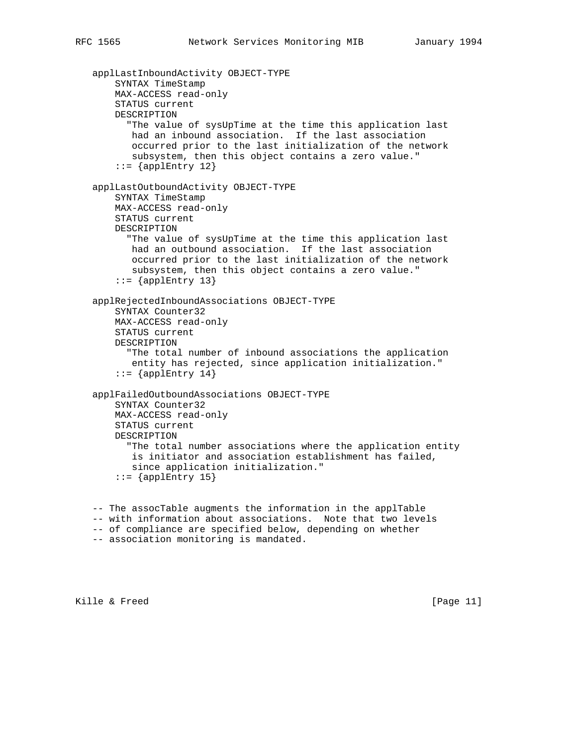```
 applLastInboundActivity OBJECT-TYPE
     SYNTAX TimeStamp
    MAX-ACCESS read-only
     STATUS current
    DESCRIPTION
       "The value of sysUpTime at the time this application last
       had an inbound association. If the last association
        occurred prior to the last initialization of the network
        subsystem, then this object contains a zero value."
    ::= {applEntry 12}
 applLastOutboundActivity OBJECT-TYPE
     SYNTAX TimeStamp
    MAX-ACCESS read-only
     STATUS current
     DESCRIPTION
       "The value of sysUpTime at the time this application last
        had an outbound association. If the last association
        occurred prior to the last initialization of the network
        subsystem, then this object contains a zero value."
    ::= {applEntry 13}
 applRejectedInboundAssociations OBJECT-TYPE
     SYNTAX Counter32
    MAX-ACCESS read-only
    STATUS current
    DESCRIPTION
       "The total number of inbound associations the application
        entity has rejected, since application initialization."
    ::= {applEntry 14}
 applFailedOutboundAssociations OBJECT-TYPE
     SYNTAX Counter32
    MAX-ACCESS read-only
    STATUS current
    DESCRIPTION
       "The total number associations where the application entity
        is initiator and association establishment has failed,
        since application initialization."
    ::= {applEntry 15}
 -- The assocTable augments the information in the applTable
```
- -- with information about associations. Note that two levels
- -- of compliance are specified below, depending on whether
- -- association monitoring is mandated.

Kille & Freed [Page 11]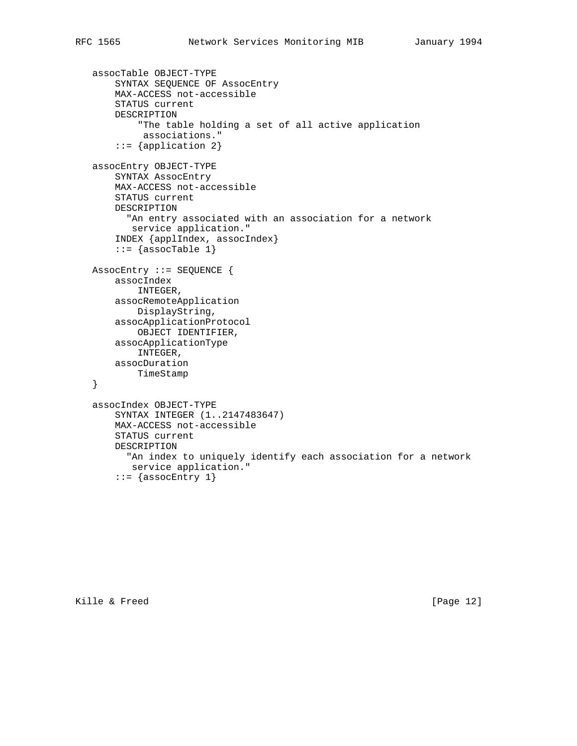```
 assocTable OBJECT-TYPE
     SYNTAX SEQUENCE OF AssocEntry
     MAX-ACCESS not-accessible
     STATUS current
     DESCRIPTION
         "The table holding a set of all active application
          associations."
     ::= {application 2}
 assocEntry OBJECT-TYPE
     SYNTAX AssocEntry
     MAX-ACCESS not-accessible
     STATUS current
     DESCRIPTION
       "An entry associated with an association for a network
        service application."
     INDEX {applIndex, assocIndex}
    ::= {assocTable 1}
 AssocEntry ::= SEQUENCE {
    assocIndex
         INTEGER,
     assocRemoteApplication
        DisplayString,
     assocApplicationProtocol
        OBJECT IDENTIFIER,
     assocApplicationType
         INTEGER,
     assocDuration
        TimeStamp
 }
 assocIndex OBJECT-TYPE
     SYNTAX INTEGER (1..2147483647)
     MAX-ACCESS not-accessible
     STATUS current
     DESCRIPTION
       "An index to uniquely identify each association for a network
        service application."
    ::= {assocEntry 1}
```
Kille & Freed [Page 12]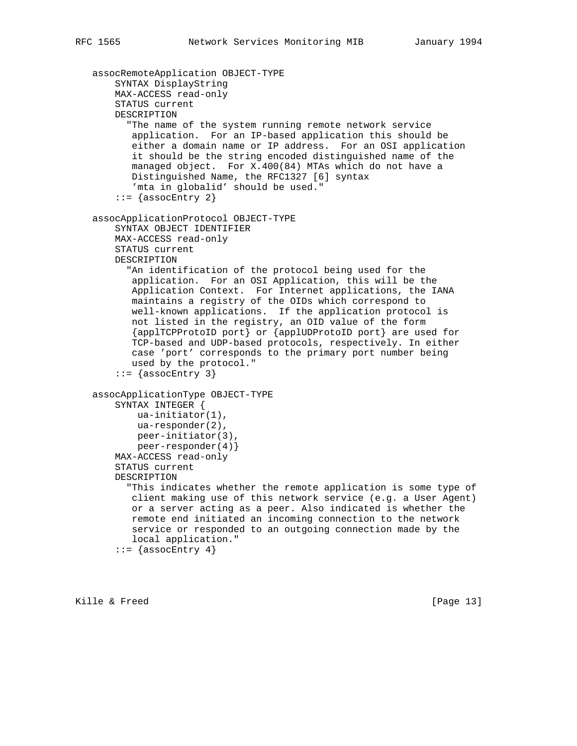```
 assocRemoteApplication OBJECT-TYPE
     SYNTAX DisplayString
    MAX-ACCESS read-only
     STATUS current
    DESCRIPTION
       "The name of the system running remote network service
        application. For an IP-based application this should be
        either a domain name or IP address. For an OSI application
        it should be the string encoded distinguished name of the
        managed object. For X.400(84) MTAs which do not have a
        Distinguished Name, the RFC1327 [6] syntax
        'mta in globalid' should be used."
    ::= {assocEntry 2}
 assocApplicationProtocol OBJECT-TYPE
     SYNTAX OBJECT IDENTIFIER
     MAX-ACCESS read-only
     STATUS current
    DESCRIPTION
       "An identification of the protocol being used for the
        application. For an OSI Application, this will be the
        Application Context. For Internet applications, the IANA
        maintains a registry of the OIDs which correspond to
        well-known applications. If the application protocol is
       not listed in the registry, an OID value of the form
        {applTCPProtoID port} or {applUDProtoID port} are used for
        TCP-based and UDP-based protocols, respectively. In either
        case 'port' corresponds to the primary port number being
       used by the protocol."
    ::= {assocEntry 3}
 assocApplicationType OBJECT-TYPE
    SYNTAX INTEGER {
         ua-initiator(1),
         ua-responder(2),
         peer-initiator(3),
         peer-responder(4)}
     MAX-ACCESS read-only
     STATUS current
     DESCRIPTION
       "This indicates whether the remote application is some type of
        client making use of this network service (e.g. a User Agent)
        or a server acting as a peer. Also indicated is whether the
        remote end initiated an incoming connection to the network
        service or responded to an outgoing connection made by the
       local application."
    ::= {assocEntry 4}
```
Kille & Freed [Page 13]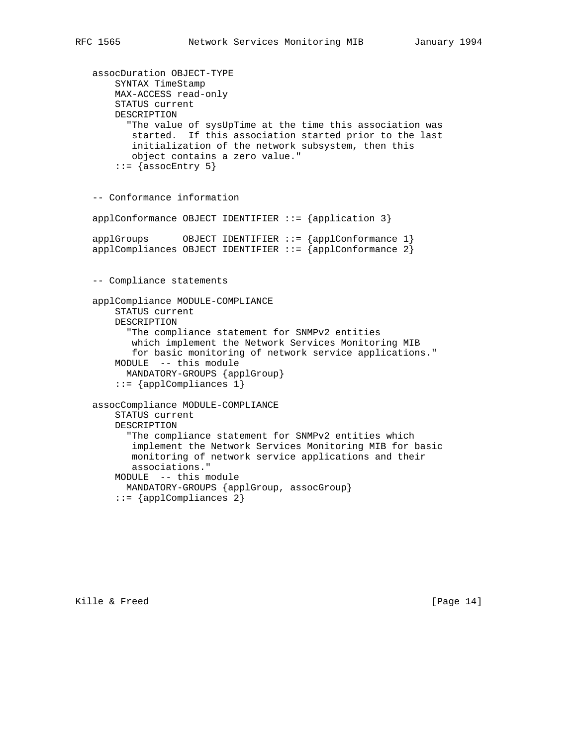```
 assocDuration OBJECT-TYPE
     SYNTAX TimeStamp
     MAX-ACCESS read-only
     STATUS current
     DESCRIPTION
       "The value of sysUpTime at the time this association was
       started. If this association started prior to the last
        initialization of the network subsystem, then this
        object contains a zero value."
    ::= {assocEntry 5}
 -- Conformance information
applConformance OBJECT IDENTIFIER ::= {application 3}
 applGroups OBJECT IDENTIFIER ::= {applConformance 1}
 applCompliances OBJECT IDENTIFIER ::= {applConformance 2}
 -- Compliance statements
 applCompliance MODULE-COMPLIANCE
     STATUS current
     DESCRIPTION
       "The compliance statement for SNMPv2 entities
        which implement the Network Services Monitoring MIB
        for basic monitoring of network service applications."
     MODULE -- this module
       MANDATORY-GROUPS {applGroup}
     ::= {applCompliances 1}
 assocCompliance MODULE-COMPLIANCE
     STATUS current
     DESCRIPTION
       "The compliance statement for SNMPv2 entities which
        implement the Network Services Monitoring MIB for basic
        monitoring of network service applications and their
        associations."
```
MODULE -- this module

::= {applCompliances 2}

MANDATORY-GROUPS {applGroup, assocGroup}

Kille & Freed [Page 14]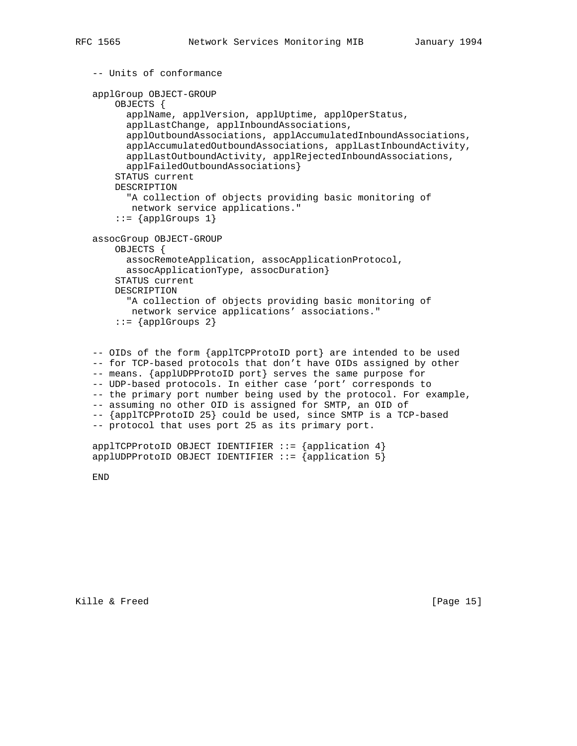```
 -- Units of conformance
 applGroup OBJECT-GROUP
     OBJECTS {
       applName, applVersion, applUptime, applOperStatus,
       applLastChange, applInboundAssociations,
       applOutboundAssociations, applAccumulatedInboundAssociations,
       applAccumulatedOutboundAssociations, applLastInboundActivity,
       applLastOutboundActivity, applRejectedInboundAssociations,
       applFailedOutboundAssociations}
     STATUS current
     DESCRIPTION
       "A collection of objects providing basic monitoring of
       network service applications."
    ::= {applGroups 1}
 assocGroup OBJECT-GROUP
    OBJECTS {
      assocRemoteApplication, assocApplicationProtocol,
       assocApplicationType, assocDuration}
     STATUS current
     DESCRIPTION
       "A collection of objects providing basic monitoring of
       network service applications' associations."
    ::= {applGroups 2}
 -- OIDs of the form {applTCPProtoID port} are intended to be used
 -- for TCP-based protocols that don't have OIDs assigned by other
 -- means. {applUDPProtoID port} serves the same purpose for
```
-- UDP-based protocols. In either case 'port' corresponds to

-- the primary port number being used by the protocol. For example,

```
 -- assuming no other OID is assigned for SMTP, an OID of
```
-- {applTCPProtoID 25} could be used, since SMTP is a TCP-based

```
 -- protocol that uses port 25 as its primary port.
```

```
app1TCPProtocol D OBJECT IDENTIFYER :: = {app1ication 4}applUDPProtoID OBJECT IDENTIFIER ::= {application 5}
```
END

Kille & Freed [Page 15]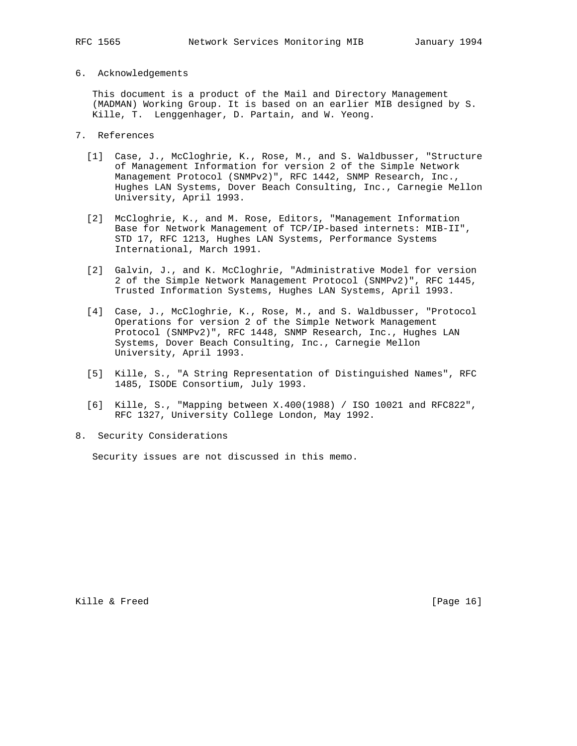## 6. Acknowledgements

 This document is a product of the Mail and Directory Management (MADMAN) Working Group. It is based on an earlier MIB designed by S. Kille, T. Lenggenhager, D. Partain, and W. Yeong.

- 7. References
	- [1] Case, J., McCloghrie, K., Rose, M., and S. Waldbusser, "Structure of Management Information for version 2 of the Simple Network Management Protocol (SNMPv2)", RFC 1442, SNMP Research, Inc., Hughes LAN Systems, Dover Beach Consulting, Inc., Carnegie Mellon University, April 1993.
	- [2] McCloghrie, K., and M. Rose, Editors, "Management Information Base for Network Management of TCP/IP-based internets: MIB-II", STD 17, RFC 1213, Hughes LAN Systems, Performance Systems International, March 1991.
	- [2] Galvin, J., and K. McCloghrie, "Administrative Model for version 2 of the Simple Network Management Protocol (SNMPv2)", RFC 1445, Trusted Information Systems, Hughes LAN Systems, April 1993.
	- [4] Case, J., McCloghrie, K., Rose, M., and S. Waldbusser, "Protocol Operations for version 2 of the Simple Network Management Protocol (SNMPv2)", RFC 1448, SNMP Research, Inc., Hughes LAN Systems, Dover Beach Consulting, Inc., Carnegie Mellon University, April 1993.
	- [5] Kille, S., "A String Representation of Distinguished Names", RFC 1485, ISODE Consortium, July 1993.
	- [6] Kille, S., "Mapping between X.400(1988) / ISO 10021 and RFC822", RFC 1327, University College London, May 1992.
- 8. Security Considerations

Security issues are not discussed in this memo.

Kille & Freed [Page 16]